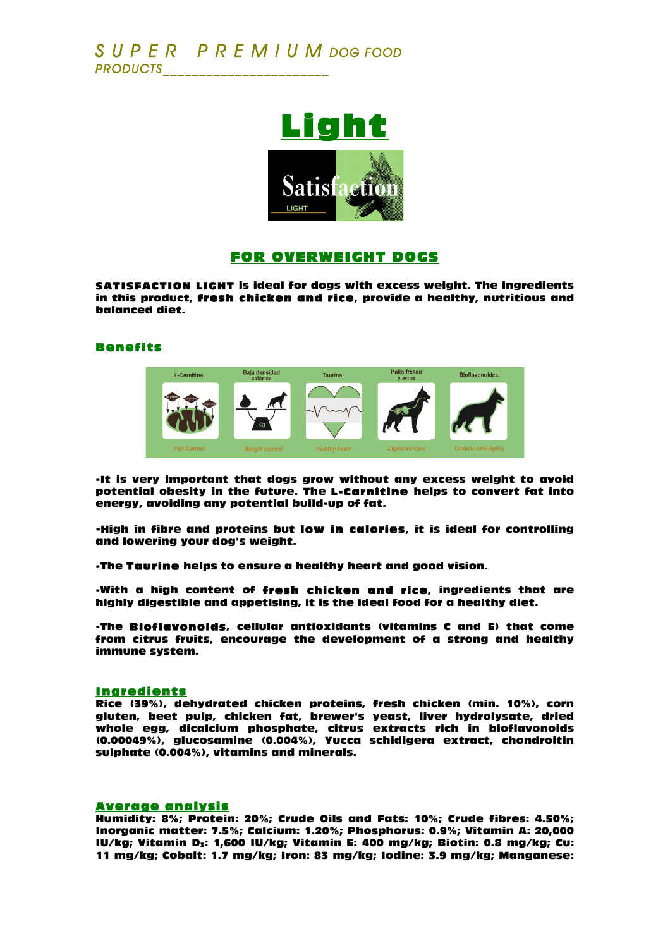

## FOR OVERWEIGHT DOGS

SATISFACTION LIGHT is ideal for dogs with excess weight. The ingredients in this product, fresh chicken and rice, provide a healthy, nutritious and balanced diet.

### Benefits



-It is very important that dogs grow without any excess weight to avoid potential obesity in the future. The L-Carnitine helps to convert fat into energy, avoiding any potential build-up of fat.

-High in fibre and proteins but low in calories, it is ideal for controlling and lowering your dog's weight.

-The Taurine helps to ensure a healthy heart and good vision.

-With a high content of fresh chicken and rice, ingredients that are highly digestible and appetising, it is the ideal food for a healthy diet.

-The Bioflavonoids, cellular antioxidants (vitamins C and E) that come from citrus fruits, encourage the development of a strong and healthy immune system.

#### Ingredients

Rice (39%), dehydrated chicken proteins, fresh chicken (min. 10%), corn gluten, beet pulp, chicken fat, brewer's yeast, liver hydrolysate, dried whole egg, dicalcium phosphate, citrus extracts rich in bioflavonoids (0.00049%), glucosamine (0.004%), Yucca schidigera extract, chondroitin sulphate (0.004%), vitamins and minerals.

#### Average analysis

Humidity: 8%; Protein: 20%; Crude Oils and Fats: 10%; Crude fibres: 4.50%; Inorganic matter: 7.5%; Calcium: 1.20%; Phosphorus: 0.9%; Vitamin A: 20,000 IU/kg; Vitamin D<sub>3</sub>: 1,600 IU/kg; Vitamin E: 400 mg/kg; Biotin: 0.8 mg/kg; Cu: 11 mg/kg; Cobalt: 1.7 mg/kg; Iron: 83 mg/kg; Iodine: 3.9 mg/kg; Manganese: